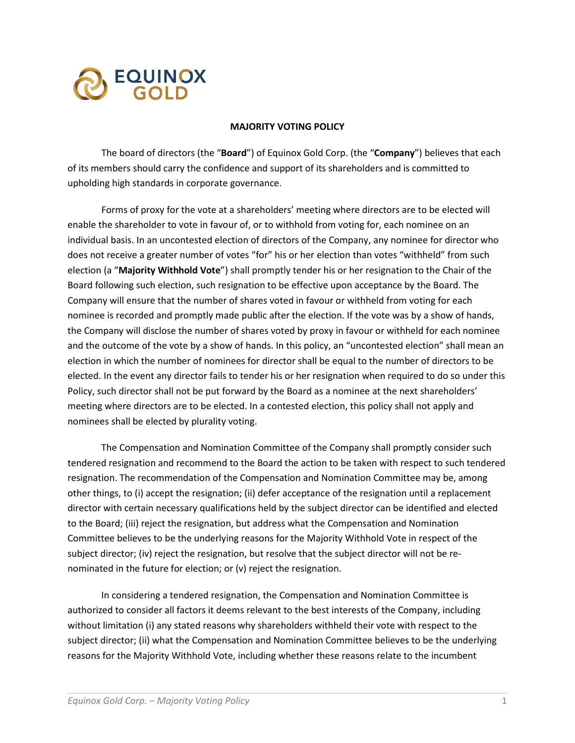

## **MAJORITY VOTING POLICY**

The board of directors (the "**Board**") of Equinox Gold Corp. (the "**Company**") believes that each of its members should carry the confidence and support of its shareholders and is committed to upholding high standards in corporate governance.

Forms of proxy for the vote at a shareholders' meeting where directors are to be elected will enable the shareholder to vote in favour of, or to withhold from voting for, each nominee on an individual basis. In an uncontested election of directors of the Company, any nominee for director who does not receive a greater number of votes "for" his or her election than votes "withheld" from such election (a "**Majority Withhold Vote**") shall promptly tender his or her resignation to the Chair of the Board following such election, such resignation to be effective upon acceptance by the Board. The Company will ensure that the number of shares voted in favour or withheld from voting for each nominee is recorded and promptly made public after the election. If the vote was by a show of hands, the Company will disclose the number of shares voted by proxy in favour or withheld for each nominee and the outcome of the vote by a show of hands. In this policy, an "uncontested election" shall mean an election in which the number of nominees for director shall be equal to the number of directors to be elected. In the event any director fails to tender his or her resignation when required to do so under this Policy, such director shall not be put forward by the Board as a nominee at the next shareholders' meeting where directors are to be elected. In a contested election, this policy shall not apply and nominees shall be elected by plurality voting.

The Compensation and Nomination Committee of the Company shall promptly consider such tendered resignation and recommend to the Board the action to be taken with respect to such tendered resignation. The recommendation of the Compensation and Nomination Committee may be, among other things, to (i) accept the resignation; (ii) defer acceptance of the resignation until a replacement director with certain necessary qualifications held by the subject director can be identified and elected to the Board; (iii) reject the resignation, but address what the Compensation and Nomination Committee believes to be the underlying reasons for the Majority Withhold Vote in respect of the subject director; (iv) reject the resignation, but resolve that the subject director will not be renominated in the future for election; or (v) reject the resignation.

In considering a tendered resignation, the Compensation and Nomination Committee is authorized to consider all factors it deems relevant to the best interests of the Company, including without limitation (i) any stated reasons why shareholders withheld their vote with respect to the subject director; (ii) what the Compensation and Nomination Committee believes to be the underlying reasons for the Majority Withhold Vote, including whether these reasons relate to the incumbent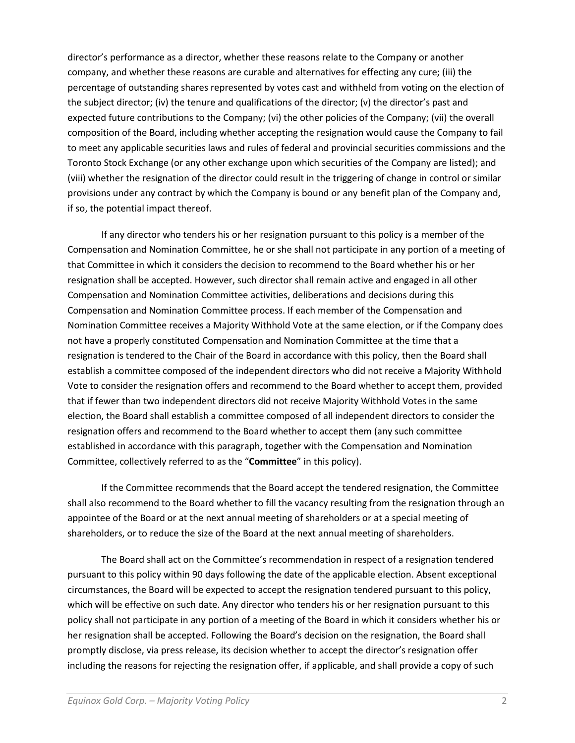director's performance as a director, whether these reasons relate to the Company or another company, and whether these reasons are curable and alternatives for effecting any cure; (iii) the percentage of outstanding shares represented by votes cast and withheld from voting on the election of the subject director; (iv) the tenure and qualifications of the director; (v) the director's past and expected future contributions to the Company; (vi) the other policies of the Company; (vii) the overall composition of the Board, including whether accepting the resignation would cause the Company to fail to meet any applicable securities laws and rules of federal and provincial securities commissions and the Toronto Stock Exchange (or any other exchange upon which securities of the Company are listed); and (viii) whether the resignation of the director could result in the triggering of change in control or similar provisions under any contract by which the Company is bound or any benefit plan of the Company and, if so, the potential impact thereof.

If any director who tenders his or her resignation pursuant to this policy is a member of the Compensation and Nomination Committee, he or she shall not participate in any portion of a meeting of that Committee in which it considers the decision to recommend to the Board whether his or her resignation shall be accepted. However, such director shall remain active and engaged in all other Compensation and Nomination Committee activities, deliberations and decisions during this Compensation and Nomination Committee process. If each member of the Compensation and Nomination Committee receives a Majority Withhold Vote at the same election, or if the Company does not have a properly constituted Compensation and Nomination Committee at the time that a resignation is tendered to the Chair of the Board in accordance with this policy, then the Board shall establish a committee composed of the independent directors who did not receive a Majority Withhold Vote to consider the resignation offers and recommend to the Board whether to accept them, provided that if fewer than two independent directors did not receive Majority Withhold Votes in the same election, the Board shall establish a committee composed of all independent directors to consider the resignation offers and recommend to the Board whether to accept them (any such committee established in accordance with this paragraph, together with the Compensation and Nomination Committee, collectively referred to as the "**Committee**" in this policy).

If the Committee recommends that the Board accept the tendered resignation, the Committee shall also recommend to the Board whether to fill the vacancy resulting from the resignation through an appointee of the Board or at the next annual meeting of shareholders or at a special meeting of shareholders, or to reduce the size of the Board at the next annual meeting of shareholders.

The Board shall act on the Committee's recommendation in respect of a resignation tendered pursuant to this policy within 90 days following the date of the applicable election. Absent exceptional circumstances, the Board will be expected to accept the resignation tendered pursuant to this policy, which will be effective on such date. Any director who tenders his or her resignation pursuant to this policy shall not participate in any portion of a meeting of the Board in which it considers whether his or her resignation shall be accepted. Following the Board's decision on the resignation, the Board shall promptly disclose, via press release, its decision whether to accept the director's resignation offer including the reasons for rejecting the resignation offer, if applicable, and shall provide a copy of such